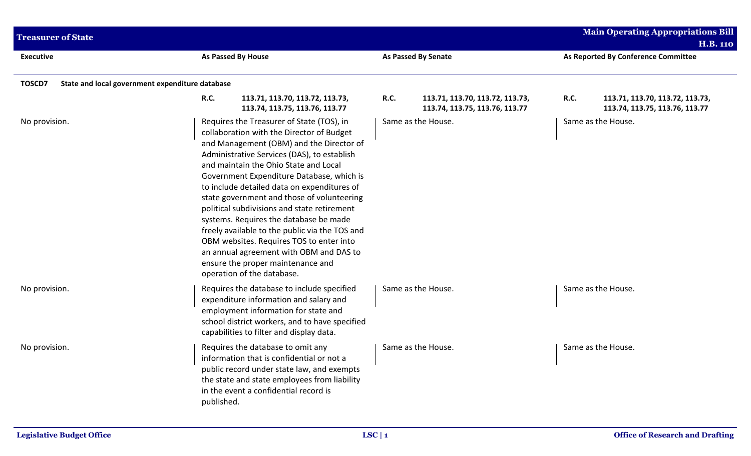| <b>Treasurer of State</b>                                 |                                                                                                                                                                                                                                                                                                                                                                                                                                                                                                                                                                                                                                                                           |                                                                                  | <b>Main Operating Appropriations Bill</b><br><b>H.B. 110</b>                     |
|-----------------------------------------------------------|---------------------------------------------------------------------------------------------------------------------------------------------------------------------------------------------------------------------------------------------------------------------------------------------------------------------------------------------------------------------------------------------------------------------------------------------------------------------------------------------------------------------------------------------------------------------------------------------------------------------------------------------------------------------------|----------------------------------------------------------------------------------|----------------------------------------------------------------------------------|
| <b>Executive</b>                                          | As Passed By House                                                                                                                                                                                                                                                                                                                                                                                                                                                                                                                                                                                                                                                        | <b>As Passed By Senate</b>                                                       | As Reported By Conference Committee                                              |
| TOSCD7<br>State and local government expenditure database |                                                                                                                                                                                                                                                                                                                                                                                                                                                                                                                                                                                                                                                                           |                                                                                  |                                                                                  |
|                                                           | <b>R.C.</b><br>113.71, 113.70, 113.72, 113.73,<br>113.74, 113.75, 113.76, 113.77                                                                                                                                                                                                                                                                                                                                                                                                                                                                                                                                                                                          | <b>R.C.</b><br>113.71, 113.70, 113.72, 113.73,<br>113.74, 113.75, 113.76, 113.77 | <b>R.C.</b><br>113.71, 113.70, 113.72, 113.73,<br>113.74, 113.75, 113.76, 113.77 |
| No provision.                                             | Requires the Treasurer of State (TOS), in<br>collaboration with the Director of Budget<br>and Management (OBM) and the Director of<br>Administrative Services (DAS), to establish<br>and maintain the Ohio State and Local<br>Government Expenditure Database, which is<br>to include detailed data on expenditures of<br>state government and those of volunteering<br>political subdivisions and state retirement<br>systems. Requires the database be made<br>freely available to the public via the TOS and<br>OBM websites. Requires TOS to enter into<br>an annual agreement with OBM and DAS to<br>ensure the proper maintenance and<br>operation of the database. | Same as the House.                                                               | Same as the House.                                                               |
| No provision.                                             | Requires the database to include specified<br>expenditure information and salary and<br>employment information for state and<br>school district workers, and to have specified<br>capabilities to filter and display data.                                                                                                                                                                                                                                                                                                                                                                                                                                                | Same as the House.                                                               | Same as the House.                                                               |
| No provision.                                             | Requires the database to omit any<br>information that is confidential or not a<br>public record under state law, and exempts<br>the state and state employees from liability<br>in the event a confidential record is<br>published.                                                                                                                                                                                                                                                                                                                                                                                                                                       | Same as the House.                                                               | Same as the House.                                                               |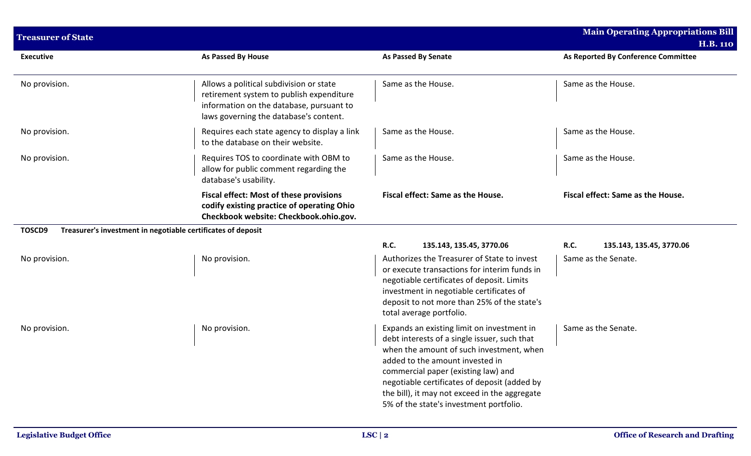| <b>Treasurer of State</b>                                              |                                                                                                                                                                           |                                                                                                                                                                                                                                                                                                                                                              | <b>Main Operating Appropriations Bill</b> |
|------------------------------------------------------------------------|---------------------------------------------------------------------------------------------------------------------------------------------------------------------------|--------------------------------------------------------------------------------------------------------------------------------------------------------------------------------------------------------------------------------------------------------------------------------------------------------------------------------------------------------------|-------------------------------------------|
|                                                                        |                                                                                                                                                                           |                                                                                                                                                                                                                                                                                                                                                              | <b>H.B. 110</b>                           |
| <b>Executive</b>                                                       | As Passed By House                                                                                                                                                        | <b>As Passed By Senate</b>                                                                                                                                                                                                                                                                                                                                   | As Reported By Conference Committee       |
| No provision.                                                          | Allows a political subdivision or state<br>retirement system to publish expenditure<br>information on the database, pursuant to<br>laws governing the database's content. | Same as the House.                                                                                                                                                                                                                                                                                                                                           | Same as the House.                        |
| No provision.                                                          | Requires each state agency to display a link<br>to the database on their website.                                                                                         | Same as the House.                                                                                                                                                                                                                                                                                                                                           | Same as the House.                        |
| No provision.                                                          | Requires TOS to coordinate with OBM to<br>allow for public comment regarding the<br>database's usability.                                                                 | Same as the House.                                                                                                                                                                                                                                                                                                                                           | Same as the House.                        |
|                                                                        | <b>Fiscal effect: Most of these provisions</b><br>codify existing practice of operating Ohio<br>Checkbook website: Checkbook.ohio.gov.                                    | Fiscal effect: Same as the House.                                                                                                                                                                                                                                                                                                                            | Fiscal effect: Same as the House.         |
| Treasurer's investment in negotiable certificates of deposit<br>TOSCD9 |                                                                                                                                                                           |                                                                                                                                                                                                                                                                                                                                                              |                                           |
|                                                                        |                                                                                                                                                                           | <b>R.C.</b><br>135.143, 135.45, 3770.06                                                                                                                                                                                                                                                                                                                      | R.C.<br>135.143, 135.45, 3770.06          |
| No provision.                                                          | No provision.                                                                                                                                                             | Authorizes the Treasurer of State to invest<br>or execute transactions for interim funds in<br>negotiable certificates of deposit. Limits<br>investment in negotiable certificates of<br>deposit to not more than 25% of the state's<br>total average portfolio.                                                                                             | Same as the Senate.                       |
| No provision.                                                          | No provision.                                                                                                                                                             | Expands an existing limit on investment in<br>debt interests of a single issuer, such that<br>when the amount of such investment, when<br>added to the amount invested in<br>commercial paper (existing law) and<br>negotiable certificates of deposit (added by<br>the bill), it may not exceed in the aggregate<br>5% of the state's investment portfolio. | Same as the Senate.                       |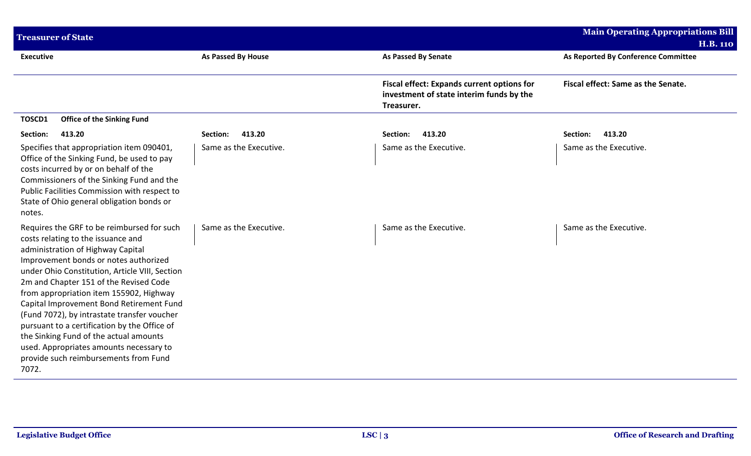| <b>Treasurer of State</b>                                                                                                                                                                                                                                                                                                                                                                                                                                                                                                                                                               |                        |                                                                                                             | <b>Main Operating Appropriations Bill</b>              |
|-----------------------------------------------------------------------------------------------------------------------------------------------------------------------------------------------------------------------------------------------------------------------------------------------------------------------------------------------------------------------------------------------------------------------------------------------------------------------------------------------------------------------------------------------------------------------------------------|------------------------|-------------------------------------------------------------------------------------------------------------|--------------------------------------------------------|
| <b>Executive</b>                                                                                                                                                                                                                                                                                                                                                                                                                                                                                                                                                                        | As Passed By House     | <b>As Passed By Senate</b>                                                                                  | <b>H.B. 110</b><br>As Reported By Conference Committee |
|                                                                                                                                                                                                                                                                                                                                                                                                                                                                                                                                                                                         |                        | <b>Fiscal effect: Expands current options for</b><br>investment of state interim funds by the<br>Treasurer. | Fiscal effect: Same as the Senate.                     |
| <b>Office of the Sinking Fund</b><br>TOSCD1                                                                                                                                                                                                                                                                                                                                                                                                                                                                                                                                             |                        |                                                                                                             |                                                        |
| 413.20<br>Section:                                                                                                                                                                                                                                                                                                                                                                                                                                                                                                                                                                      | 413.20<br>Section:     | Section:<br>413.20                                                                                          | Section:<br>413.20                                     |
| Specifies that appropriation item 090401,<br>Office of the Sinking Fund, be used to pay<br>costs incurred by or on behalf of the<br>Commissioners of the Sinking Fund and the<br>Public Facilities Commission with respect to<br>State of Ohio general obligation bonds or<br>notes.                                                                                                                                                                                                                                                                                                    | Same as the Executive. | Same as the Executive.                                                                                      | Same as the Executive.                                 |
| Requires the GRF to be reimbursed for such<br>costs relating to the issuance and<br>administration of Highway Capital<br>Improvement bonds or notes authorized<br>under Ohio Constitution, Article VIII, Section<br>2m and Chapter 151 of the Revised Code<br>from appropriation item 155902, Highway<br>Capital Improvement Bond Retirement Fund<br>(Fund 7072), by intrastate transfer voucher<br>pursuant to a certification by the Office of<br>the Sinking Fund of the actual amounts<br>used. Appropriates amounts necessary to<br>provide such reimbursements from Fund<br>7072. | Same as the Executive. | Same as the Executive.                                                                                      | Same as the Executive.                                 |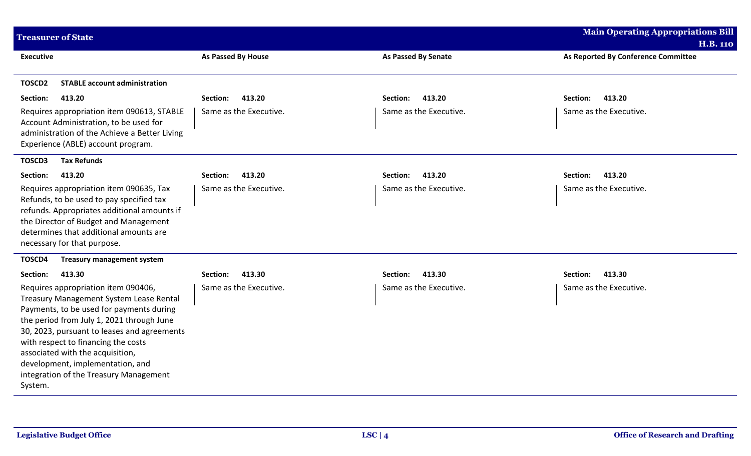| <b>Treasurer of State</b>                                                                                                                                                                                                                                                                                                                                                                  |                        |                            | <b>Main Operating Appropriations Bill</b> |
|--------------------------------------------------------------------------------------------------------------------------------------------------------------------------------------------------------------------------------------------------------------------------------------------------------------------------------------------------------------------------------------------|------------------------|----------------------------|-------------------------------------------|
|                                                                                                                                                                                                                                                                                                                                                                                            |                        |                            | <b>H.B. 110</b>                           |
| Executive                                                                                                                                                                                                                                                                                                                                                                                  | As Passed By House     | <b>As Passed By Senate</b> | As Reported By Conference Committee       |
| TOSCD <sub>2</sub><br><b>STABLE account administration</b>                                                                                                                                                                                                                                                                                                                                 |                        |                            |                                           |
| 413.20<br>Section:                                                                                                                                                                                                                                                                                                                                                                         | 413.20<br>Section:     | 413.20<br>Section:         | 413.20<br>Section:                        |
| Requires appropriation item 090613, STABLE<br>Account Administration, to be used for<br>administration of the Achieve a Better Living<br>Experience (ABLE) account program.                                                                                                                                                                                                                | Same as the Executive. | Same as the Executive.     | Same as the Executive.                    |
| <b>Tax Refunds</b><br>TOSCD3                                                                                                                                                                                                                                                                                                                                                               |                        |                            |                                           |
| Section:<br>413.20                                                                                                                                                                                                                                                                                                                                                                         | 413.20<br>Section:     | 413.20<br>Section:         | 413.20<br>Section:                        |
| Requires appropriation item 090635, Tax<br>Refunds, to be used to pay specified tax<br>refunds. Appropriates additional amounts if<br>the Director of Budget and Management<br>determines that additional amounts are<br>necessary for that purpose.                                                                                                                                       | Same as the Executive. | Same as the Executive.     | Same as the Executive.                    |
| TOSCD4<br><b>Treasury management system</b>                                                                                                                                                                                                                                                                                                                                                |                        |                            |                                           |
| Section:<br>413.30                                                                                                                                                                                                                                                                                                                                                                         | 413.30<br>Section:     | 413.30<br>Section:         | 413.30<br>Section:                        |
| Requires appropriation item 090406,<br>Treasury Management System Lease Rental<br>Payments, to be used for payments during<br>the period from July 1, 2021 through June<br>30, 2023, pursuant to leases and agreements<br>with respect to financing the costs<br>associated with the acquisition,<br>development, implementation, and<br>integration of the Treasury Management<br>System. | Same as the Executive. | Same as the Executive.     | Same as the Executive.                    |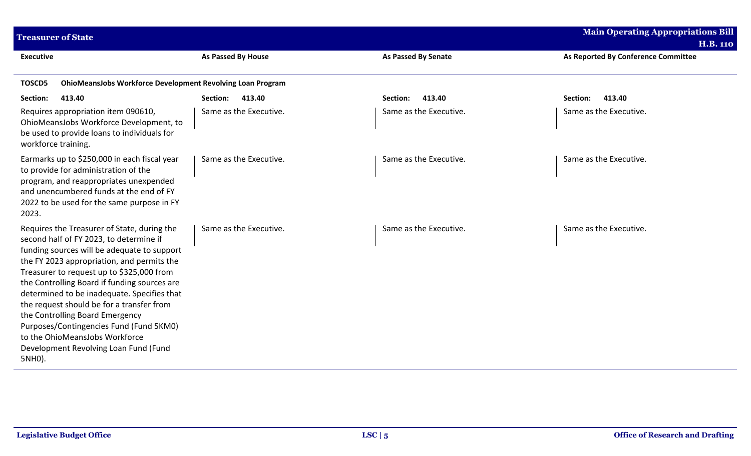| <b>Treasurer of State</b>                                                                                                                                                                                                                                                                                                                                                                                                                                                                                                                       |                        |                            | <b>Main Operating Appropriations Bill</b><br><b>H.B. 110</b> |
|-------------------------------------------------------------------------------------------------------------------------------------------------------------------------------------------------------------------------------------------------------------------------------------------------------------------------------------------------------------------------------------------------------------------------------------------------------------------------------------------------------------------------------------------------|------------------------|----------------------------|--------------------------------------------------------------|
| <b>Executive</b>                                                                                                                                                                                                                                                                                                                                                                                                                                                                                                                                | As Passed By House     | <b>As Passed By Senate</b> | As Reported By Conference Committee                          |
| <b>OhioMeansJobs Workforce Development Revolving Loan Program</b><br><b>TOSCD5</b>                                                                                                                                                                                                                                                                                                                                                                                                                                                              |                        |                            |                                                              |
| Section:<br>413.40                                                                                                                                                                                                                                                                                                                                                                                                                                                                                                                              | 413.40<br>Section:     | 413.40<br>Section:         | 413.40<br>Section:                                           |
| Requires appropriation item 090610,<br>OhioMeansJobs Workforce Development, to<br>be used to provide loans to individuals for<br>workforce training.                                                                                                                                                                                                                                                                                                                                                                                            | Same as the Executive. | Same as the Executive.     | Same as the Executive.                                       |
| Earmarks up to \$250,000 in each fiscal year<br>to provide for administration of the<br>program, and reappropriates unexpended<br>and unencumbered funds at the end of FY<br>2022 to be used for the same purpose in FY<br>2023.                                                                                                                                                                                                                                                                                                                | Same as the Executive. | Same as the Executive.     | Same as the Executive.                                       |
| Requires the Treasurer of State, during the<br>second half of FY 2023, to determine if<br>funding sources will be adequate to support<br>the FY 2023 appropriation, and permits the<br>Treasurer to request up to \$325,000 from<br>the Controlling Board if funding sources are<br>determined to be inadequate. Specifies that<br>the request should be for a transfer from<br>the Controlling Board Emergency<br>Purposes/Contingencies Fund (Fund 5KM0)<br>to the OhioMeansJobs Workforce<br>Development Revolving Loan Fund (Fund<br>5NH0). | Same as the Executive. | Same as the Executive.     | Same as the Executive.                                       |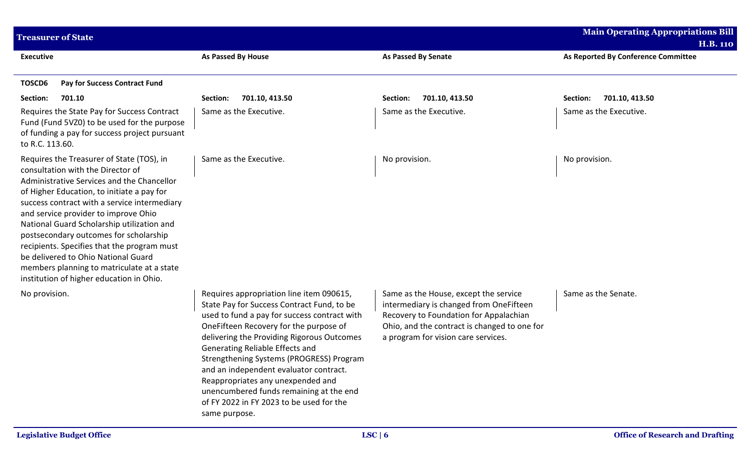| <b>Treasurer of State</b>                                                                                                                                                                                                                                                                                                                                                                                                                                                                                                                  |                                                                                                                                                                                                                                                                                                                                                                                                                                                                                                      |                                                                                                                                                                                                                   | <b>Main Operating Appropriations Bill</b><br><b>H.B. 110</b> |
|--------------------------------------------------------------------------------------------------------------------------------------------------------------------------------------------------------------------------------------------------------------------------------------------------------------------------------------------------------------------------------------------------------------------------------------------------------------------------------------------------------------------------------------------|------------------------------------------------------------------------------------------------------------------------------------------------------------------------------------------------------------------------------------------------------------------------------------------------------------------------------------------------------------------------------------------------------------------------------------------------------------------------------------------------------|-------------------------------------------------------------------------------------------------------------------------------------------------------------------------------------------------------------------|--------------------------------------------------------------|
| <b>Executive</b>                                                                                                                                                                                                                                                                                                                                                                                                                                                                                                                           | As Passed By House                                                                                                                                                                                                                                                                                                                                                                                                                                                                                   | <b>As Passed By Senate</b>                                                                                                                                                                                        | As Reported By Conference Committee                          |
| TOSCD6<br>Pay for Success Contract Fund                                                                                                                                                                                                                                                                                                                                                                                                                                                                                                    |                                                                                                                                                                                                                                                                                                                                                                                                                                                                                                      |                                                                                                                                                                                                                   |                                                              |
| Section:<br>701.10                                                                                                                                                                                                                                                                                                                                                                                                                                                                                                                         | 701.10, 413.50<br>Section:                                                                                                                                                                                                                                                                                                                                                                                                                                                                           | 701.10, 413.50<br>Section:                                                                                                                                                                                        | 701.10, 413.50<br>Section:                                   |
| Requires the State Pay for Success Contract<br>Fund (Fund 5VZ0) to be used for the purpose<br>of funding a pay for success project pursuant<br>to R.C. 113.60.                                                                                                                                                                                                                                                                                                                                                                             | Same as the Executive.                                                                                                                                                                                                                                                                                                                                                                                                                                                                               | Same as the Executive.                                                                                                                                                                                            | Same as the Executive.                                       |
| Requires the Treasurer of State (TOS), in<br>consultation with the Director of<br>Administrative Services and the Chancellor<br>of Higher Education, to initiate a pay for<br>success contract with a service intermediary<br>and service provider to improve Ohio<br>National Guard Scholarship utilization and<br>postsecondary outcomes for scholarship<br>recipients. Specifies that the program must<br>be delivered to Ohio National Guard<br>members planning to matriculate at a state<br>institution of higher education in Ohio. | Same as the Executive.                                                                                                                                                                                                                                                                                                                                                                                                                                                                               | No provision.                                                                                                                                                                                                     | No provision.                                                |
| No provision.                                                                                                                                                                                                                                                                                                                                                                                                                                                                                                                              | Requires appropriation line item 090615,<br>State Pay for Success Contract Fund, to be<br>used to fund a pay for success contract with<br>OneFifteen Recovery for the purpose of<br>delivering the Providing Rigorous Outcomes<br>Generating Reliable Effects and<br>Strengthening Systems (PROGRESS) Program<br>and an independent evaluator contract.<br>Reappropriates any unexpended and<br>unencumbered funds remaining at the end<br>of FY 2022 in FY 2023 to be used for the<br>same purpose. | Same as the House, except the service<br>intermediary is changed from OneFifteen<br>Recovery to Foundation for Appalachian<br>Ohio, and the contract is changed to one for<br>a program for vision care services. | Same as the Senate.                                          |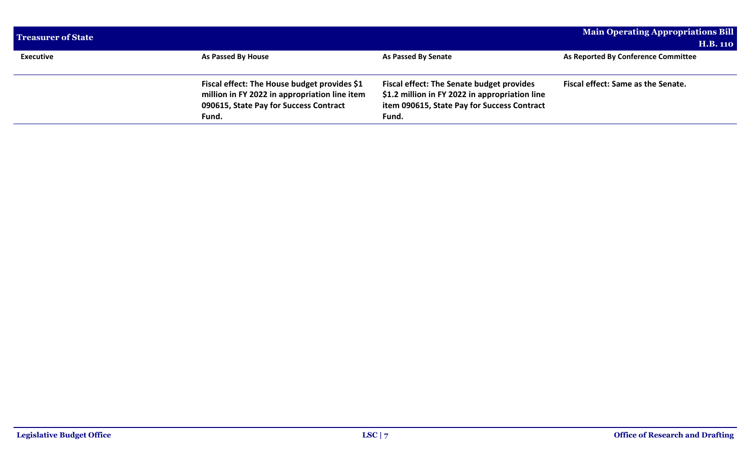| <b>Treasurer of State</b> |                                               |                                                  | <b>Main Operating Appropriations Bill</b> |
|---------------------------|-----------------------------------------------|--------------------------------------------------|-------------------------------------------|
|                           |                                               |                                                  | <b>H.B. 110</b>                           |
| <b>Executive</b>          | As Passed By House                            | <b>As Passed By Senate</b>                       | As Reported By Conference Committee       |
|                           |                                               |                                                  |                                           |
|                           | Fiscal effect: The House budget provides \$1  | <b>Fiscal effect: The Senate budget provides</b> | Fiscal effect: Same as the Senate.        |
|                           | million in FY 2022 in appropriation line item | \$1.2 million in FY 2022 in appropriation line   |                                           |
|                           | 090615, State Pay for Success Contract        | item 090615, State Pay for Success Contract      |                                           |
|                           | Fund.                                         | Fund.                                            |                                           |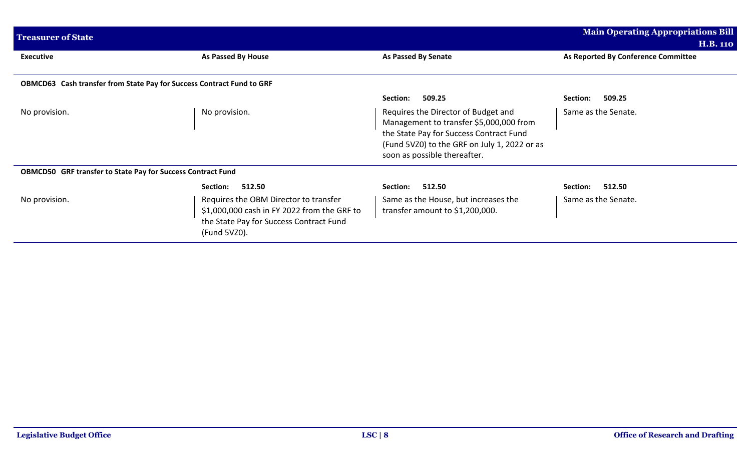| <b>Treasurer of State</b>                                             |                                                                                                                                                 |                                                                                                                                                                                                           | <b>Main Operating Appropriations Bill</b>              |
|-----------------------------------------------------------------------|-------------------------------------------------------------------------------------------------------------------------------------------------|-----------------------------------------------------------------------------------------------------------------------------------------------------------------------------------------------------------|--------------------------------------------------------|
| <b>Executive</b>                                                      | As Passed By House                                                                                                                              | As Passed By Senate                                                                                                                                                                                       | <b>H.B. 110</b><br>As Reported By Conference Committee |
| OBMCD63 Cash transfer from State Pay for Success Contract Fund to GRF |                                                                                                                                                 |                                                                                                                                                                                                           |                                                        |
|                                                                       |                                                                                                                                                 | 509.25<br>Section:                                                                                                                                                                                        | 509.25<br>Section:                                     |
| No provision.                                                         | No provision.                                                                                                                                   | Requires the Director of Budget and<br>Management to transfer \$5,000,000 from<br>the State Pay for Success Contract Fund<br>(Fund 5VZ0) to the GRF on July 1, 2022 or as<br>soon as possible thereafter. | Same as the Senate.                                    |
| <b>OBMCD50 GRF transfer to State Pay for Success Contract Fund</b>    |                                                                                                                                                 |                                                                                                                                                                                                           |                                                        |
|                                                                       | 512.50<br>Section:                                                                                                                              | 512.50<br>Section:                                                                                                                                                                                        | 512.50<br>Section:                                     |
| No provision.                                                         | Requires the OBM Director to transfer<br>\$1,000,000 cash in FY 2022 from the GRF to<br>the State Pay for Success Contract Fund<br>(Fund 5VZ0). | Same as the House, but increases the<br>transfer amount to \$1,200,000.                                                                                                                                   | Same as the Senate.                                    |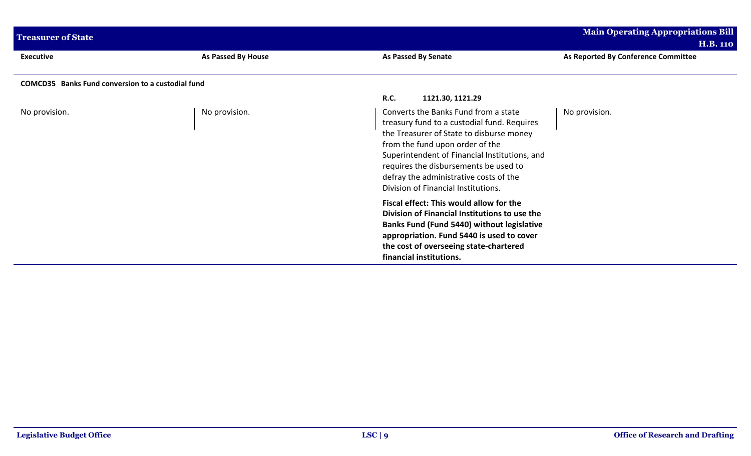| <b>Treasurer of State</b>                                |                    |                                                                                                                                                                                                                                                                                                                                               | <b>Main Operating Appropriations Bill</b> |
|----------------------------------------------------------|--------------------|-----------------------------------------------------------------------------------------------------------------------------------------------------------------------------------------------------------------------------------------------------------------------------------------------------------------------------------------------|-------------------------------------------|
|                                                          |                    |                                                                                                                                                                                                                                                                                                                                               | <b>H.B. 110</b>                           |
| <b>Executive</b>                                         | As Passed By House | <b>As Passed By Senate</b>                                                                                                                                                                                                                                                                                                                    | As Reported By Conference Committee       |
| <b>COMCD35</b> Banks Fund conversion to a custodial fund |                    |                                                                                                                                                                                                                                                                                                                                               |                                           |
|                                                          |                    | R.C.<br>1121.30, 1121.29                                                                                                                                                                                                                                                                                                                      |                                           |
| No provision.                                            | No provision.      | Converts the Banks Fund from a state<br>treasury fund to a custodial fund. Requires<br>the Treasurer of State to disburse money<br>from the fund upon order of the<br>Superintendent of Financial Institutions, and<br>requires the disbursements be used to<br>defray the administrative costs of the<br>Division of Financial Institutions. | No provision.                             |
|                                                          |                    | Fiscal effect: This would allow for the<br>Division of Financial Institutions to use the<br><b>Banks Fund (Fund 5440) without legislative</b><br>appropriation. Fund 5440 is used to cover<br>the cost of overseeing state-chartered<br>financial institutions.                                                                               |                                           |